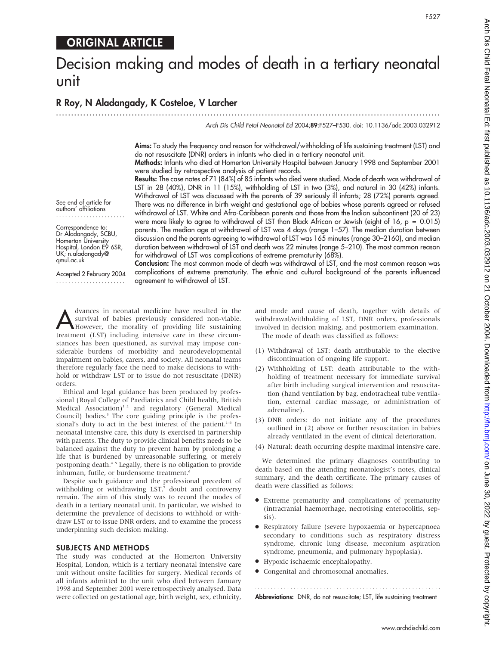## ORIGINAL ARTICLE

# Decision making and modes of death in a tertiary neonatal unit

## R Roy, N Aladangady, K Costeloe, V Larcher

...............................................................................................................................

Arch Dis Child Fetal Neonatal Ed 2004;89:F527–F530. doi: 10.1136/adc.2003.032912

Aims: To study the frequency and reason for withdrawal/withholding of life sustaining treatment (LST) and do not resuscitate (DNR) orders in infants who died in a tertiary neonatal unit.

Methods: Infants who died at Homerton University Hospital between January 1998 and September 2001 were studied by retrospective analysis of patient records.

Results: The case notes of 71 (84%) of 85 infants who died were studied. Mode of death was withdrawal of LST in 28 (40%), DNR in 11 (15%), withholding of LST in two (3%), and natural in 30 (42%) infants. Withdrawal of LST was discussed with the parents of 39 seriously ill infants; 28 (72%) parents agreed. There was no difference in birth weight and gestational age of babies whose parents agreed or refused withdrawal of LST. White and Afro-Caribbean parents and those from the Indian subcontinent (20 of 23) were more likely to agree to withdrawal of LST than Black African or Jewish (eight of 16, p = 0.015) parents. The median age at withdrawal of LST was 4 days (range 1–57). The median duration between discussion and the parents agreeing to withdrawal of LST was 165 minutes (range 30–2160), and median duration between withdrawal of LST and death was 22 minutes (range 5–210). The most common reason for withdrawal of LST was complications of extreme prematurity (68%).

See end of article for authors' affiliations .......................

Correspondence to: Dr Aladangady, SCBU, Homerton University Hospital, London E9 6SR, UK; n.aladangady@ qmul.ac.uk

Accepted 2 February 2004 .......................

Conclusion: The most common mode of death was withdrawal of LST, and the most common reason was complications of extreme prematurity. The ethnic and cultural background of the parents influenced agreement to withdrawal of LST.

dvances in neonatal medicine have resulted in the<br>survival of babies previously considered non-viable.<br>However, the morality of providing life sustaining<br>treatment (LST) including intensive care in these circum survival of babies previously considered non-viable. However, the morality of providing life sustaining treatment (LST) including intensive care in these circumstances has been questioned, as survival may impose considerable burdens of morbidity and neurodevelopmental impairment on babies, carers, and society. All neonatal teams therefore regularly face the need to make decisions to withhold or withdraw LST or to issue do not resuscitate (DNR) orders.

Ethical and legal guidance has been produced by professional (Royal College of Paediatrics and Child health, British Medical Association)<sup>12</sup> and regulatory (General Medical Council) bodies.<sup>3</sup> The core guiding principle is the professional's duty to act in the best interest of the patient. $1-3$  In neonatal intensive care, this duty is exercised in partnership with parents. The duty to provide clinical benefits needs to be balanced against the duty to prevent harm by prolonging a life that is burdened by unreasonable suffering, or merely postponing death.4 5 Legally, there is no obligation to provide inhuman, futile, or burdensome treatment.<sup>6</sup>

Despite such guidance and the professional precedent of withholding or withdrawing  $LST$ ,<sup>7</sup> doubt and controversy remain. The aim of this study was to record the modes of death in a tertiary neonatal unit. In particular, we wished to determine the prevalence of decisions to withhold or withdraw LST or to issue DNR orders, and to examine the process underpinning such decision making.

#### SUBJECTS AND METHODS

The study was conducted at the Homerton University Hospital, London, which is a tertiary neonatal intensive care unit without onsite facilities for surgery. Medical records of all infants admitted to the unit who died between January 1998 and September 2001 were retrospectively analysed. Data were collected on gestational age, birth weight, sex, ethnicity, and mode and cause of death, together with details of withdrawal/withholding of LST, DNR orders, professionals involved in decision making, and postmortem examination. The mode of death was classified as follows:

- (1) Withdrawal of LST: death attributable to the elective discontinuation of ongoing life support.
- (2) Withholding of LST: death attributable to the withholding of treatment necessary for immediate survival after birth including surgical intervention and resuscitation (hand ventilation by bag, endotracheal tube ventilation, external cardiac massage, or administration of adrenaline).
- (3) DNR orders: do not initiate any of the procedures outlined in (2) above or further resuscitation in babies already ventilated in the event of clinical deterioration.
- (4) Natural: death occurring despite maximal intensive care.

We determined the primary diagnoses contributing to death based on the attending neonatologist's notes, clinical summary, and the death certificate. The primary causes of death were classified as follows:

- N Extreme prematurity and complications of prematurity (intracranial haemorrhage, necrotising enterocolitis, sepsis).
- N Respiratory failure (severe hypoxaemia or hypercapnoea secondary to conditions such as respiratory distress syndrome, chronic lung disease, meconium aspiration syndrome, pneumonia, and pulmonary hypoplasia).
- Hypoxic ischaemic encephalopathy.
- $\bullet$  Congenital and chromosomal anomalies.

Abbreviations: DNR, do not resuscitate; LST, life sustaining treatment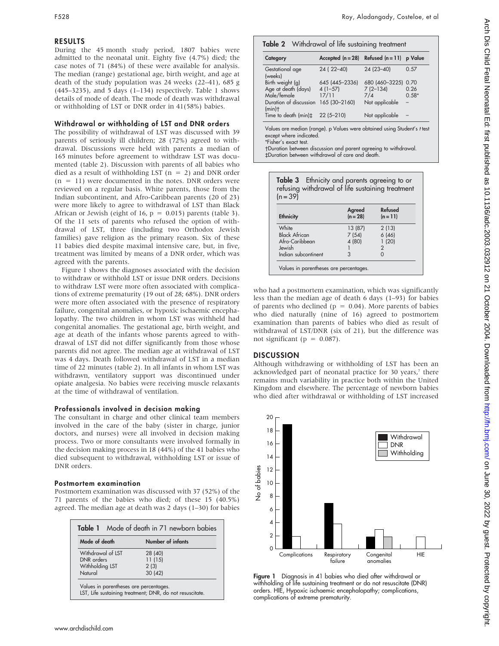#### RESULTS

During the 45 month study period, 1807 babies were admitted to the neonatal unit. Eighty five (4.7%) died; the case notes of 71 (84%) of these were available for analysis. The median (range) gestational age, birth weight, and age at death of the study population was 24 weeks (22–41), 685 g (445–3235), and 5 days (1–134) respectively. Table 1 shows details of mode of death. The mode of death was withdrawal or withholding of LST or DNR order in 41(58%) babies.

#### Withdrawal or withholding of LST and DNR orders

The possibility of withdrawal of LST was discussed with 39 parents of seriously ill children; 28 (72%) agreed to withdrawal. Discussions were held with parents a median of 165 minutes before agreement to withdraw LST was documented (table 2). Discussion with parents of all babies who died as a result of withholding LST ( $n = 2$ ) and DNR order  $(n = 11)$  were documented in the notes. DNR orders were reviewed on a regular basis. White parents, those from the Indian subcontinent, and Afro-Caribbean parents (20 of 23) were more likely to agree to withdrawal of LST than Black African or Jewish (eight of 16,  $p = 0.015$ ) parents (table 3). Of the 11 sets of parents who refused the option of withdrawal of LST, three (including two Orthodox Jewish families) gave religion as the primary reason. Six of these 11 babies died despite maximal intensive care, but, in five, treatment was limited by means of a DNR order, which was agreed with the parents.

Figure 1 shows the diagnoses associated with the decision to withdraw or withhold LST or issue DNR orders. Decisions to withdraw LST were more often associated with complications of extreme prematurity (19 out of 28; 68%). DNR orders were more often associated with the presence of respiratory failure, congenital anomalies, or hypoxic ischaemic encephalopathy. The two children in whom LST was withheld had congenital anomalies. The gestational age, birth weight, and age at death of the infants whose parents agreed to withdrawal of LST did not differ significantly from those whose parents did not agree. The median age at withdrawal of LST was 4 days. Death followed withdrawal of LST in a median time of 22 minutes (table 2). In all infants in whom LST was withdrawn, ventilatory support was discontinued under opiate analgesia. No babies were receiving muscle relaxants at the time of withdrawal of ventilation.

#### Professionals involved in decision making

The consultant in charge and other clinical team members involved in the care of the baby (sister in charge, junior doctors, and nurses) were all involved in decision making process. Two or more consultants were involved formally in the decision making process in 18 (44%) of the 41 babies who died subsequent to withdrawal, withholding LST or issue of DNR orders.

#### Postmortem examination

Postmortem examination was discussed with 37 (52%) of the 71 parents of the babies who died; of these 15 (40.5%) agreed. The median age at death was 2 days (1–30) for babies

|                   | Table 1 Mode of death in 71 newborn babies |
|-------------------|--------------------------------------------|
| Mode of death     | Number of infants                          |
| Withdrawal of LST | 28 (40)                                    |
| DNR orders        | 11(15)                                     |
| Withholding LST   | 2(3)                                       |
| Natural           | 30(42)                                     |

#### Table 2 Withdrawal of life sustaining treatment

| Category                                 | Accepted $(n = 28)$ Refused $(n = 11)$ p Value |                |         |
|------------------------------------------|------------------------------------------------|----------------|---------|
| Gestational age<br>(weeks)               | 24 (22-40)                                     | $24(23 - 40)$  | 0.57    |
| Birth weight (g)                         | 645 (445-2336)                                 | 680 (460-3225) | 0.70    |
| Age at death (days)                      | $4(1-57)$                                      | $7(2-134)$     | 0.26    |
| Male/female                              | 17/11                                          | 7/4            | $0.58*$ |
| Duration of discussion<br>(min)          | 165 (30-2160)                                  | Not applicable |         |
| Time to death $(min)\ddagger$ 22 (5-210) |                                                | Not applicable |         |

Values are median (range). p Values were obtained using Student's t test except where indicated

\*Fisher's exact test.

Duration between discussion and parent agreeing to withdrawal. `Duration between withdrawal of care and death.

| refusing withdrawal of life sustaining treatment<br>$(n = 39)$ |                    |                       |  |  |  |
|----------------------------------------------------------------|--------------------|-----------------------|--|--|--|
| <b>Ethnicity</b>                                               | Agreed<br>$(n=28)$ | Refused<br>$(n = 11)$ |  |  |  |
| White                                                          | 13 (87)            | 2(13)                 |  |  |  |
| <b>Black African</b>                                           | 7(54)              | 6(46)                 |  |  |  |
| Afro-Caribbean                                                 | 4 (80)             | 1(20)                 |  |  |  |
| lewish                                                         |                    |                       |  |  |  |
| Indian subcontinent                                            | 3                  |                       |  |  |  |

who had a postmortem examination, which was significantly less than the median age of death 6 days (1–93) for babies of parents who declined ( $p = 0.04$ ). More parents of babies who died naturally (nine of 16) agreed to postmortem examination than parents of babies who died as result of withdrawal of LST/DNR (six of 21), but the difference was not significant ( $p = 0.087$ ).

#### **DISCUSSION**

Although withdrawing or withholding of LST has been an acknowledged part of neonatal practice for 30 years,<sup>7</sup> there remains much variability in practice both within the United Kingdom and elsewhere. The percentage of newborn babies who died after withdrawal or withholding of LST increased



Figure 1 Diagnosis in 41 babies who died after withdrawal or withholding of life sustaining treatment or do not resuscitate (DNR) orders. HIE, Hypoxic ischaemic encephalopathy; complications, complications of extreme prematurity.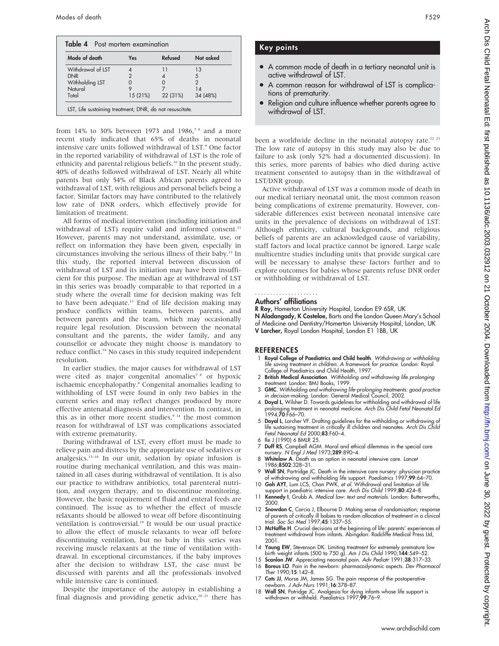| Mode of death     | <b>Yes</b> | Refused  | Not asked |
|-------------------|------------|----------|-----------|
| Withdrawal of LST |            |          | 13        |
| <b>DNR</b>        |            |          | 5         |
| Withholding LST   |            |          |           |
| Natural           |            |          |           |
| Total             | 15 (21%)   | 22 (31%) | 34 (48%)  |

from 14% to 30% between 1973 and 1986,<sup>78</sup> and a more recent study indicated that 65% of deaths in neonatal intensive care units followed withdrawal of LST.<sup>9</sup> One factor in the reported variability of withdrawal of LST is the role of ethnicity and parental religious beliefs.<sup>10</sup> In the present study, 40% of deaths followed withdrawal of LST. Nearly all white parents but only 54% of Black African parents agreed to withdrawal of LST, with religious and personal beliefs being a factor. Similar factors may have contributed to the relatively low rate of DNR orders, which effectively provide for limitation of treatment.

All forms of medical intervention (including initiation and withdrawal of LST) require valid and informed consent.<sup>11</sup> However, parents may not understand, assimilate, use, or reflect on information they have been given, especially in circumstances involving the serious illness of their baby.12 In this study, the reported interval between discussion of withdrawal of LST and its initiation may have been insufficient for this purpose. The median age at withdrawal of LST in this series was broadly comparable to that reported in a study where the overall time for decision making was felt to have been adequate.13 End of life decision making may produce conflicts within teams, between parents, and between parents and the team, which may occasionally require legal resolution. Discussion between the neonatal consultant and the parents, the wider family, and any counsellor or advocate they might choose is mandatory to reduce conflict.<sup>14</sup> No cases in this study required independent resolution.

In earlier studies, the major causes for withdrawal of LST were cited as major congenital anomalies<sup>78</sup> or hypoxic ischaemic encephalopathy.<sup>8</sup> Congenital anomalies leading to withholding of LST were found in only two babies in the current series and may reflect changes produced by more effective antenatal diagnosis and intervention. In contrast, in this as in other more recent studies,<sup>9 14</sup> the most common reason for withdrawal of LST was complications associated with extreme prematurity.

During withdrawal of LST, every effort must be made to relieve pain and distress by the appropriate use of sedatives or analgesics.<sup>15-18</sup> In our unit, sedation by opiate infusion is routine during mechanical ventilation, and this was maintained in all cases during withdrawal of ventilation. It is also our practice to withdraw antibiotics, total parenteral nutrition, and oxygen therapy, and to discontinue monitoring. However, the basic requirement of fluid and enteral feeds are continued. The issue as to whether the effect of muscle relaxants should be allowed to wear off before discontinuing ventilation is controversial.<sup>19</sup> It would be our usual practice to allow the effect of muscle relaxants to wear off before discontinuing ventilation, but no baby in this series was receiving muscle relaxants at the time of ventilation withdrawal. In exceptional circumstances, if the baby improves after the decision to withdraw LST, the case must be discussed with parents and all the professionals involved while intensive care is continued.

Despite the importance of the autopsy in establishing a final diagnosis and providing genetic advice,<sup>20 21</sup> there has

### Key points

- A common mode of death in a tertiary neonatal unit is active withdrawal of LST.
- A common reason for withdrawal of LST is complications of prematurity.
- Religion and culture influence whether parents agree to withdrawal of LST.

been a worldwide decline in the neonatal autopsy rate.<sup>22 23</sup> The low rate of autopsy in this study may also be due to failure to ask (only 52% had a documented discussion). In this series, more parents of babies who died during active treatment consented to autopsy than in the withdrawal of LST/DNR group.

Active withdrawal of LST was a common mode of death in our medical tertiary neonatal unit, the most common reason being complications of extreme prematurity. However, considerable differences exist between neonatal intensive care units in the prevalence of decisions on withdrawal of LST. Although ethnicity, cultural backgrounds, and religious beliefs of parents are an acknowledged cause of variability, staff factors and local practice cannot be ignored. Large scale multicentre studies including units that provide surgical care will be necessary to analyse these factors further and to explore outcomes for babies whose parents refuse DNR order or withholding or withdrawal of LST.

#### .....................

#### Authors' affiliations

R Roy, Homerton University Hospital, London E9 6SR, UK N Aladangady, K Costeloe, Barts and the London Queen Mary's School of Medicine and Dentistry/Homerton University Hospital, London, UK V Larcher, Royal London Hospital, London E1 1BB, UK

#### REFERENCES

- 1 Royal College of Paediatrics and Child health. Withdrawing or withholding life saving treatment in children. A framework for practice. London: Royal College of Paediatrics and Child Health, 1997.
- 2 British Medical Association. Withholding and withdrawing life prolonging treatment. London: BMJ Books, 1999.
- 3 GMC. Withholding and withdrawing life-prolonging treatments: good practice in decision-making. London: General Medical Council, 2002.
- 4 Doyal L, Wilsher D. Towards guidelines for withholding and withdrawal of life prolonging treatment in neonatal medicine. Arch Dis Child Fetal Neonatal Ed  $1994:70:$ F66–70.
- 5 Doyal L, Larcher VF. Drafting guidelines for the withholding or withdrawing of lite sustaining treatment in critically ill children and neonates. Arch Dis Chila<br>Fetal Neonatal Ed 2000;8**3**:F60–4.
- 6 Re J (1990) 6 BMLR 25.
- 7 Duff RS, Campbell AGM. Moral and ethical dilemmas in the special care nursery. N Engl J Med 1973;289:890–4.
- 8 Whitelaw A. Death as an option in neonatal intensive care. Lancet 1986;8502:328–31.
- 9 Wall SN, Partridge JC. Death in the intensive care nursery: physician practice of withdrawing and withholding life support. Paediatrics 1997;99:64–70.
- 10 Goh AYT, Lum LCS, Chan PWK, et al. Withdrawal and limitation of life support in paediatric intensive care. Arch Dis Child 1999;80:424–8.
- 11 Kennedy I, Grubb A. Medical law: text and materials. London: Butterworths, 2000.
- 12 Snowdon C, Carcia J, Elbourne D. Making sense of randomisation; response of parents of critically ill babies to random allocation of treatment in a clinical trial. Soc Sci Med 1997;45:1337–55.
- 13 McHaffie H. Crucial decisions at the beginning of life: parents' experiences of treatment withdrawal from infants. Abingdon: Radcliffe Medical Press Ltd, 2001.
- 14 Young EW, Stevenson DK. Limiting treatment for extremely premature low birth weight infants (500 to 750 g). Am J Dis Child 1990;144:549–52.
- 15 Scanlon JW. Appreciating neonatal pain. Adv Pediatr 1991;38:317–33.
- 16 Boreus LO. Pain in the newborn: pharmacodynamic aspects. Dev Pharmacol Ther 1990;15:142–8.
- Cots JJ, Morse JM, James SG. The pain response of the postoperative newborn. J Adv Nurs 1991;16:378–87.
- 18 Wall SN, Patridge JC. Analgesia for dying infants whose life support is withdrawn or withheld. Paediatrics 1997;99:76–9.